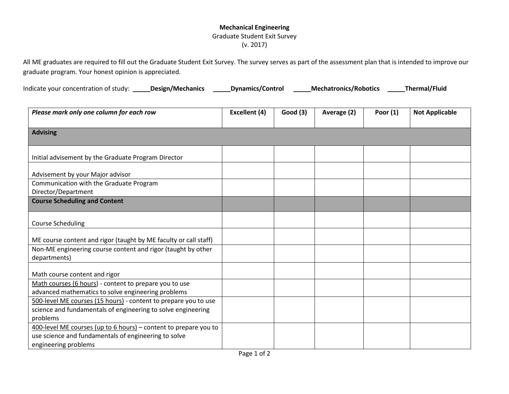## **Mechanical Engineering** Graduate Student Exit Survey (v. 2017)

All ME graduates are required to fill out the Graduate Student Exit Survey. The survey serves as part of the assessment plan that is intended to improve our graduate program. Your honest opinion is appreciated.

| Indicate your concentration of study: | Design/Mechanics | <b>Dynamics/Control</b> | <b>Mechatronics/Robotics</b> | <b>Thermal/Fluid</b> |
|---------------------------------------|------------------|-------------------------|------------------------------|----------------------|
|---------------------------------------|------------------|-------------------------|------------------------------|----------------------|

| Please mark only one column for each row                         | Excellent (4) | Good(3) | Average (2) | Poor $(1)$ | <b>Not Applicable</b> |
|------------------------------------------------------------------|---------------|---------|-------------|------------|-----------------------|
|                                                                  |               |         |             |            |                       |
| <b>Advising</b>                                                  |               |         |             |            |                       |
|                                                                  |               |         |             |            |                       |
| Initial advisement by the Graduate Program Director              |               |         |             |            |                       |
|                                                                  |               |         |             |            |                       |
| Advisement by your Major advisor                                 |               |         |             |            |                       |
| Communication with the Graduate Program                          |               |         |             |            |                       |
| Director/Department                                              |               |         |             |            |                       |
| <b>Course Scheduling and Content</b>                             |               |         |             |            |                       |
|                                                                  |               |         |             |            |                       |
| <b>Course Scheduling</b>                                         |               |         |             |            |                       |
|                                                                  |               |         |             |            |                       |
| ME course content and rigor (taught by ME faculty or call staff) |               |         |             |            |                       |
| Non-ME engineering course content and rigor (taught by other     |               |         |             |            |                       |
| departments)                                                     |               |         |             |            |                       |
| Math course content and rigor                                    |               |         |             |            |                       |
| Math courses (6 hours) - content to prepare you to use           |               |         |             |            |                       |
| advanced mathematics to solve engineering problems               |               |         |             |            |                       |
| 500-level ME courses (15 hours) - content to prepare you to use  |               |         |             |            |                       |
| science and fundamentals of engineering to solve engineering     |               |         |             |            |                       |
| problems                                                         |               |         |             |            |                       |
| 400-level ME courses (up to 6 hours) - content to prepare you to |               |         |             |            |                       |
| use science and fundamentals of engineering to solve             |               |         |             |            |                       |
| engineering problems                                             |               |         |             |            |                       |